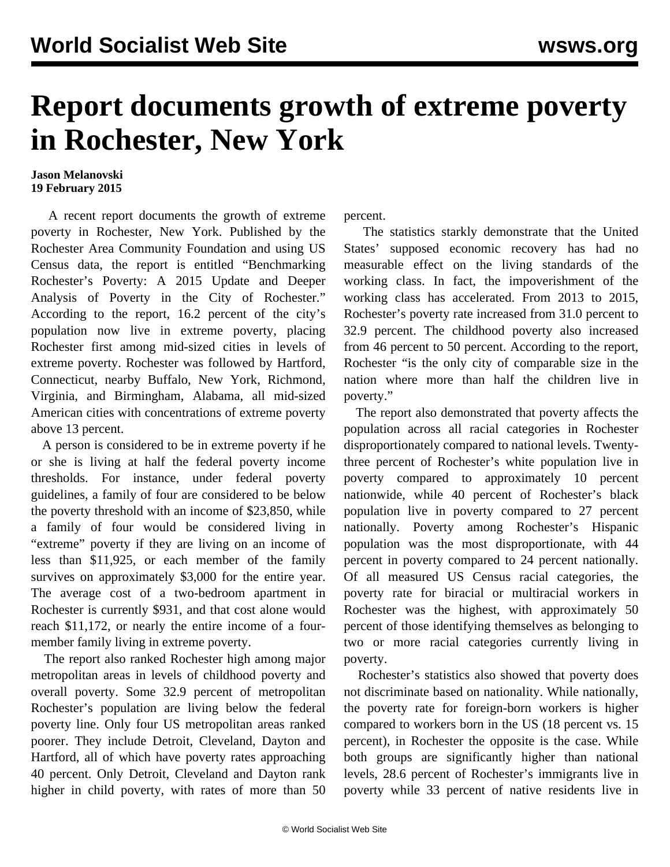## **Report documents growth of extreme poverty in Rochester, New York**

## **Jason Melanovski 19 February 2015**

 A recent report documents the growth of extreme poverty in Rochester, New York. Published by the Rochester Area Community Foundation and using US Census data, the [report](http://www.actrochester.org/sites/default/files/Poverty%20Report%20Update%202015-0108.pdf) is entitled "Benchmarking Rochester's Poverty: A 2015 Update and Deeper Analysis of Poverty in the City of Rochester." According to the report, 16.2 percent of the city's population now live in extreme poverty, placing Rochester first among mid-sized cities in levels of extreme poverty. Rochester was followed by Hartford, Connecticut, nearby Buffalo, New York, Richmond, Virginia, and Birmingham, Alabama, all mid-sized American cities with concentrations of extreme poverty above 13 percent.

 A person is considered to be in extreme poverty if he or she is living at half the federal poverty income thresholds. For instance, under federal poverty guidelines, a family of four are considered to be below the poverty threshold with an income of \$23,850, while a family of four would be considered living in "extreme" poverty if they are living on an income of less than \$11,925, or each member of the family survives on approximately \$3,000 for the entire year. The average cost of a two-bedroom apartment in Rochester is currently \$931, and that cost alone would reach \$11,172, or nearly the entire income of a fourmember family living in extreme poverty.

 The report also ranked Rochester high among major metropolitan areas in levels of childhood poverty and overall poverty. Some 32.9 percent of metropolitan Rochester's population are living below the federal poverty line. Only four US metropolitan areas ranked poorer. They include Detroit, Cleveland, Dayton and Hartford, all of which have poverty rates approaching 40 percent. Only Detroit, Cleveland and Dayton rank higher in child poverty, with rates of more than 50

percent.

 The statistics starkly demonstrate that the United States' supposed economic recovery has had no measurable effect on the living standards of the working class. In fact, the impoverishment of the working class has accelerated. From 2013 to 2015, Rochester's poverty rate increased from 31.0 percent to 32.9 percent. The childhood poverty also increased from 46 percent to 50 percent. According to the report, Rochester "is the only city of comparable size in the nation where more than half the children live in poverty."

 The report also demonstrated that poverty affects the population across all racial categories in Rochester disproportionately compared to national levels. Twentythree percent of Rochester's white population live in poverty compared to approximately 10 percent nationwide, while 40 percent of Rochester's black population live in poverty compared to 27 percent nationally. Poverty among Rochester's Hispanic population was the most disproportionate, with 44 percent in poverty compared to 24 percent nationally. Of all measured US Census racial categories, the poverty rate for biracial or multiracial workers in Rochester was the highest, with approximately 50 percent of those identifying themselves as belonging to two or more racial categories currently living in poverty.

 Rochester's statistics also showed that poverty does not discriminate based on nationality. While nationally, the poverty rate for foreign-born workers is higher compared to workers born in the US (18 percent vs. 15 percent), in Rochester the opposite is the case. While both groups are significantly higher than national levels, 28.6 percent of Rochester's immigrants live in poverty while 33 percent of native residents live in